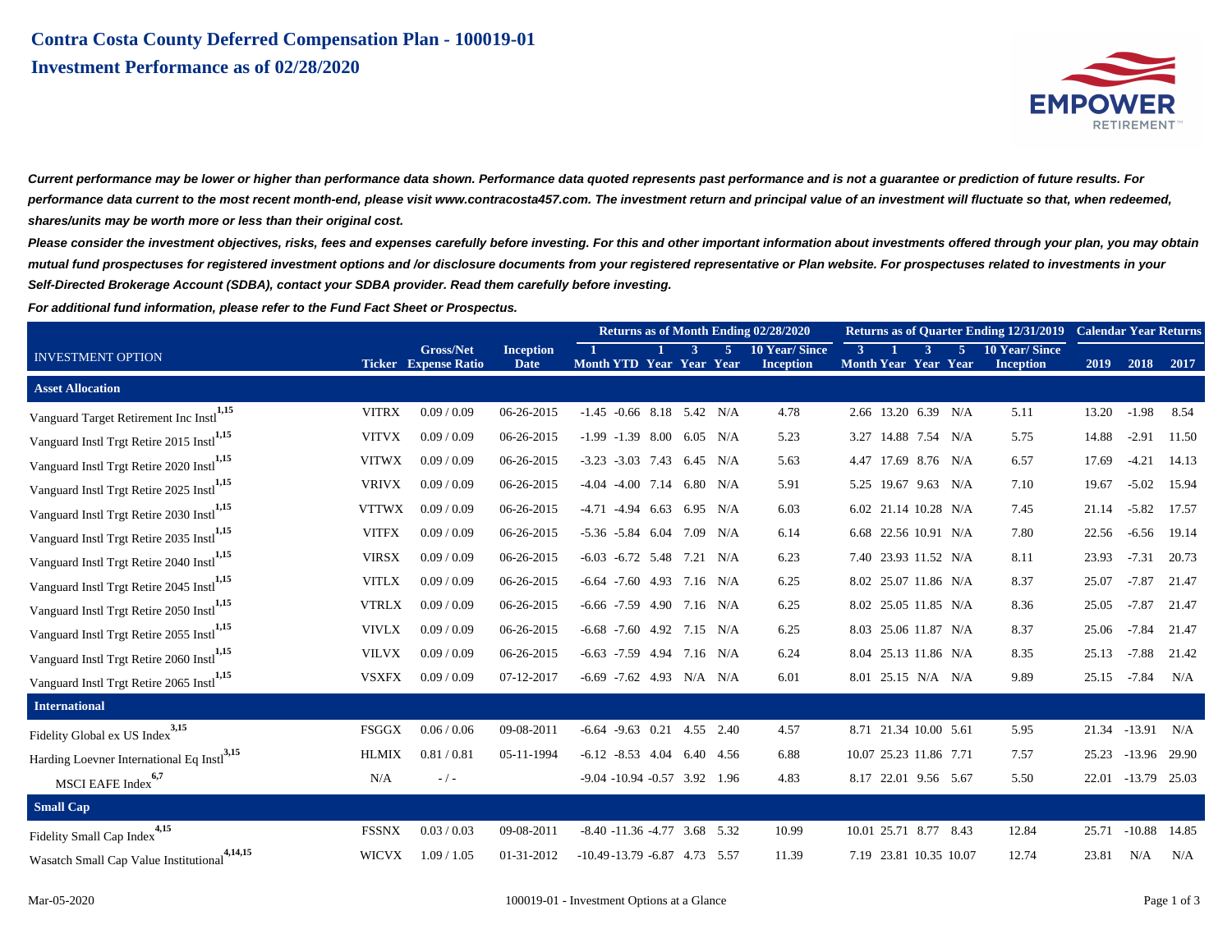

**Current performance may be lower or higher than performance data shown. Performance data quoted represents past performance and is not a guarantee or prediction of future results. For performance data current to the most recent month-end, please visit www.contracosta457.com. The investment return and principal value of an investment will fluctuate so that, when redeemed, shares/units may be worth more or less than their original cost.**

**Please consider the investment objectives, risks, fees and expenses carefully before investing. For this and other important information about investments offered through your plan, you may obtain mutual fund prospectuses for registered investment options and /or disclosure documents from your registered representative or Plan website. For prospectuses related to investments in your Self-Directed Brokerage Account (SDBA), contact your SDBA provider. Read them carefully before investing.**

**For additional fund information, please refer to the Fund Fact Sheet or Prospectus.**

|                                                        |              |                                                 |                                 | Returns as of Month Ending 02/28/2020 |  |  |                |                                          |              | <b>Returns as of Quarter Ending 12/31/2019</b> |  | <b>Calendar Year Returns</b>        |                                          |       |                |       |
|--------------------------------------------------------|--------------|-------------------------------------------------|---------------------------------|---------------------------------------|--|--|----------------|------------------------------------------|--------------|------------------------------------------------|--|-------------------------------------|------------------------------------------|-------|----------------|-------|
| <b>INVESTMENT OPTION</b>                               |              | <b>Gross/Net</b><br><b>Ticker</b> Expense Ratio | <b>Inception</b><br><b>Date</b> | Month YTD Year Year Year              |  |  | $\blacksquare$ | <b>10 Year/Since</b><br><b>Inception</b> | <sup>3</sup> |                                                |  | $5^{\circ}$<br>Month Year Year Year | <b>10 Year/Since</b><br><b>Inception</b> | 2019  | 2018           | 2017  |
| <b>Asset Allocation</b>                                |              |                                                 |                                 |                                       |  |  |                |                                          |              |                                                |  |                                     |                                          |       |                |       |
| 1,15<br>Vanguard Target Retirement Inc Instl           | <b>VITRX</b> | 0.09 / 0.09                                     | 06-26-2015                      | $-1.45$ $-0.66$ 8.18 5.42 N/A         |  |  |                | 4.78                                     |              | 2.66 13.20 6.39 N/A                            |  |                                     | 5.11                                     | 13.20 | $-1.98$        | 8.54  |
| Vanguard Instl Trgt Retire 2015 Instl <sup>1,15</sup>  | <b>VITVX</b> | 0.09 / 0.09                                     | 06-26-2015                      | $-1.99$ $-1.39$ 8.00 6.05 N/A         |  |  |                | 5.23                                     |              | 3.27 14.88 7.54 N/A                            |  |                                     | 5.75                                     | 14.88 | $-2.91$        | 11.50 |
| Vanguard Instl Trgt Retire 2020 Instl <sup>1,15</sup>  | <b>VITWX</b> | 0.09 / 0.09                                     | 06-26-2015                      | $-3.23$ $-3.03$ 7.43 6.45 N/A         |  |  |                | 5.63                                     |              | 4.47 17.69 8.76 N/A                            |  |                                     | 6.57                                     | 17.69 | $-4.21$        | 14.13 |
| Vanguard Instl Trgt Retire 2025 Instl <sup>1,15</sup>  | <b>VRIVX</b> | 0.09 / 0.09                                     | 06-26-2015                      | $-4.04$ $-4.00$ 7.14 6.80 N/A         |  |  |                | 5.91                                     |              | 5.25 19.67 9.63 N/A                            |  |                                     | 7.10                                     | 19.67 | $-5.02$        | 15.94 |
| Vanguard Instl Trgt Retire 2030 Instl <sup>1,15</sup>  | <b>VTTWX</b> | 0.09 / 0.09                                     | 06-26-2015                      | -4.71 -4.94 6.63 6.95 N/A             |  |  |                | 6.03                                     |              | 6.02 21.14 10.28 N/A                           |  |                                     | 7.45                                     | 21.14 | $-5.82$        | 17.57 |
| Vanguard Instl Trgt Retire 2035 Instl <sup>1,15</sup>  | <b>VITFX</b> | 0.09 / 0.09                                     | 06-26-2015                      | $-5.36$ $-5.84$ 6.04 7.09 N/A         |  |  |                | 6.14                                     |              |                                                |  | 6.68 22.56 10.91 N/A                | 7.80                                     | 22.56 | $-6.56$        | 19.14 |
| Vanguard Instl Trgt Retire 2040 Instl <sup>1,15</sup>  | <b>VIRSX</b> | 0.09 / 0.09                                     | 06-26-2015                      | $-6.03$ $-6.72$ 5.48 7.21 N/A         |  |  |                | 6.23                                     |              | 7.40 23.93 11.52 N/A                           |  |                                     | 8.11                                     | 23.93 | $-7.31$        | 20.73 |
| Vanguard Instl Trgt Retire 2045 Instl <sup>1,15</sup>  | <b>VITLX</b> | 0.09 / 0.09                                     | 06-26-2015                      | $-6.64$ $-7.60$ 4.93 7.16 N/A         |  |  |                | 6.25                                     |              | 8.02 25.07 11.86 N/A                           |  |                                     | 8.37                                     | 25.07 | $-7.87$        | 21.47 |
| Vanguard Instl Trgt Retire 2050 Instl <sup>1,15</sup>  | <b>VTRLX</b> | 0.09 / 0.09                                     | 06-26-2015                      | $-6.66$ $-7.59$ 4.90 7.16 N/A         |  |  |                | 6.25                                     |              | 8.02 25.05 11.85 N/A                           |  |                                     | 8.36                                     | 25.05 | $-7.87$        | 21.47 |
| Vanguard Instl Trgt Retire 2055 Instl <sup>1,15</sup>  | <b>VIVLX</b> | 0.09 / 0.09                                     | 06-26-2015                      | $-6.68$ $-7.60$ $4.92$ $7.15$ N/A     |  |  |                | 6.25                                     |              | 8.03 25.06 11.87 N/A                           |  |                                     | 8.37                                     | 25.06 | $-7.84$        | 21.47 |
| Vanguard Instl Trgt Retire 2060 Instl <sup>1,15</sup>  | <b>VILVX</b> | 0.09 / 0.09                                     | 06-26-2015                      | $-6.63$ $-7.59$ 4.94 7.16 N/A         |  |  |                | 6.24                                     |              | 8.04 25.13 11.86 N/A                           |  |                                     | 8.35                                     | 25.13 | $-7.88$        | 21.42 |
| Vanguard Instl Trgt Retire 2065 Instl <sup>1,15</sup>  | <b>VSXFX</b> | 0.09 / 0.09                                     | 07-12-2017                      | $-6.69$ $-7.62$ $4.93$ N/A N/A        |  |  |                | 6.01                                     |              | 8.01 25.15 N/A N/A                             |  |                                     | 9.89                                     | 25.15 | $-7.84$        | N/A   |
| <b>International</b>                                   |              |                                                 |                                 |                                       |  |  |                |                                          |              |                                                |  |                                     |                                          |       |                |       |
| 3,15<br>Fidelity Global ex US Index                    | <b>FSGGX</b> | 0.06 / 0.06                                     | 09-08-2011                      | $-6.64$ $-9.63$ $0.21$ $4.55$ $2.40$  |  |  |                | 4.57                                     |              | 8.71 21.34 10.00 5.61                          |  |                                     | 5.95                                     |       | 21.34 -13.91   | N/A   |
| Harding Loevner International Eq Instl <sup>3,15</sup> | <b>HLMIX</b> | 0.81 / 0.81                                     | 05-11-1994                      | $-6.12$ $-8.53$ $4.04$ $6.40$ $4.56$  |  |  |                | 6.88                                     |              | 10.07 25.23 11.86 7.71                         |  |                                     | 7.57                                     | 25.23 | $-13.96$ 29.90 |       |
| MSCI EAFE Index <sup>6,7</sup>                         | N/A          | $-/-$                                           |                                 | $-9.04 - 10.94 - 0.57$ 3.92 1.96      |  |  |                | 4.83                                     |              | 8.17 22.01 9.56 5.67                           |  |                                     | 5.50                                     | 22.01 | $-13.79$ 25.03 |       |
| <b>Small Cap</b>                                       |              |                                                 |                                 |                                       |  |  |                |                                          |              |                                                |  |                                     |                                          |       |                |       |
| Fidelity Small Cap Index <sup>4,15</sup>               | <b>FSSNX</b> | 0.03 / 0.03                                     | 09-08-2011                      | $-8.40 - 11.36 - 4.77$ 3.68 5.32      |  |  |                | 10.99                                    |              | 10.01 25.71 8.77 8.43                          |  |                                     | 12.84                                    | 25.71 | $-10.88$ 14.85 |       |
| 4,14,15<br>Wasatch Small Cap Value Institutional       | <b>WICVX</b> | 1.09 / 1.05                                     | 01-31-2012                      | $-10.49 - 13.79 - 6.87$ 4.73 5.57     |  |  |                | 11.39                                    |              |                                                |  | 7.19 23.81 10.35 10.07              | 12.74                                    | 23.81 | N/A            | N/A   |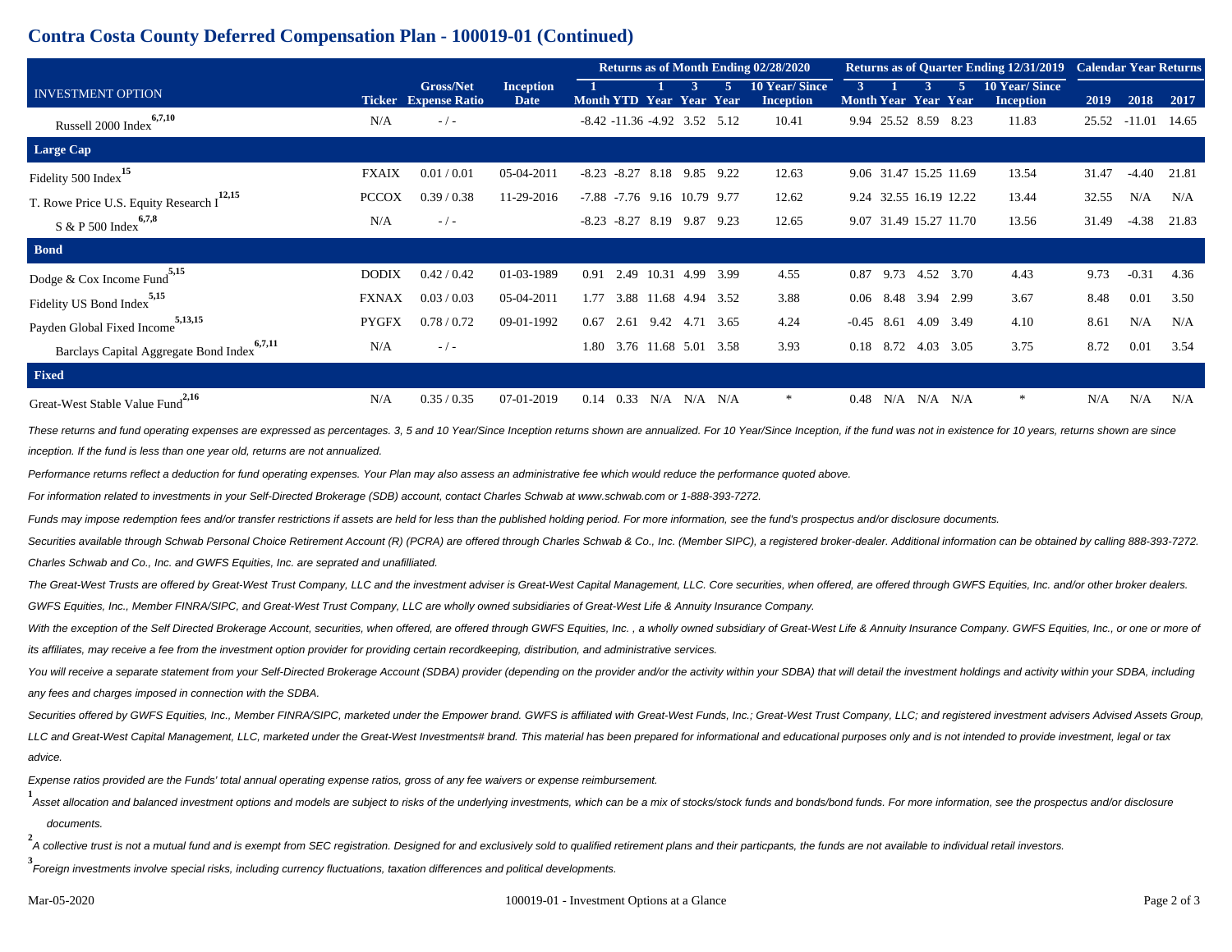## **Contra Costa County Deferred Compensation Plan - 100019-01 (Continued)**

|                                                       |              |                                                 |                          | Returns as of Month Ending 02/28/2020  |  |                      |  |                                          |              | <b>Returns as of Quarter Ending 12/31/2019</b> |                   | <b>Calendar Year Returns</b>      |                                          |       |              |       |
|-------------------------------------------------------|--------------|-------------------------------------------------|--------------------------|----------------------------------------|--|----------------------|--|------------------------------------------|--------------|------------------------------------------------|-------------------|-----------------------------------|------------------------------------------|-------|--------------|-------|
| <b>INVESTMENT OPTION</b>                              |              | <b>Gross/Net</b><br><b>Ticker</b> Expense Ratio | <b>Inception</b><br>Date | Month YTD Year Year Year               |  |                      |  | <b>10 Year/Since</b><br><b>Inception</b> | $\mathbf{3}$ |                                                |                   | 5.<br><b>Month Year Year Year</b> | <b>10 Year/Since</b><br><b>Inception</b> | 2019  | 2018         | 2017  |
| 6,7,10<br>Russell 2000 Index                          | N/A          | $-/-$                                           |                          | $-8.42$ $-11.36$ $-4.92$ $3.52$ $5.12$ |  |                      |  | 10.41                                    |              | 9.94 25.52 8.59 8.23                           |                   |                                   | 11.83                                    |       | 25.52 -11.01 | 14.65 |
| Large Cap                                             |              |                                                 |                          |                                        |  |                      |  |                                          |              |                                                |                   |                                   |                                          |       |              |       |
| -15<br>Fidelity 500 Index <sup>1</sup>                | <b>FXAIX</b> | 0.01/0.01                                       | 05-04-2011               | $-8.27$ 8.18 9.85 9.22<br>$-8.23$      |  |                      |  | 12.63                                    |              |                                                |                   | 9.06 31.47 15.25 11.69            | 13.54                                    | 31.47 | $-4.40$      | 21.81 |
| T. Rowe Price U.S. Equity Research I <sup>12,15</sup> | <b>PCCOX</b> | 0.39 / 0.38                                     | 11-29-2016               | -7.88 -7.76 9.16 10.79 9.77            |  |                      |  | 12.62                                    |              |                                                |                   | 9.24 32.55 16.19 12.22            | 13.44                                    | 32.55 | N/A          | N/A   |
| 6,7,8<br>$S & P 500$ Index                            | N/A          | $-/-$                                           |                          | $-8.23 -8.27$ 8.19 9.87 9.23           |  |                      |  | 12.65                                    |              |                                                |                   | 9.07 31.49 15.27 11.70            | 13.56                                    | 31.49 | $-4.38$      | 21.83 |
| <b>Bond</b>                                           |              |                                                 |                          |                                        |  |                      |  |                                          |              |                                                |                   |                                   |                                          |       |              |       |
| .5,15<br>Dodge & Cox Income Fund                      | <b>DODIX</b> | 0.42 / 0.42                                     | 01-03-1989               | 2.49<br>0.91                           |  | 10.31 4.99 3.99      |  | 4.55                                     | 0.87         |                                                |                   | 9.73 4.52 3.70                    | 4.43                                     | 9.73  | $-0.31$      | 4.36  |
| Fidelity US Bond Index <sup>5,15</sup>                | <b>FXNAX</b> | 0.03 / 0.03                                     | 05-04-2011               | 1.77                                   |  | 3.88 11.68 4.94 3.52 |  | 3.88                                     | 0.06         |                                                |                   | 8.48 3.94 2.99                    | 3.67                                     | 8.48  | 0.01         | 3.50  |
| 5,13,15<br>Payden Global Fixed Income                 | <b>PYGFX</b> | 0.78 / 0.72                                     | 09-01-1992               | 0.67<br>2.61                           |  | 9.42 4.71 3.65       |  | 4.24                                     | $-0.45$      | 8.61                                           |                   | 4.09 3.49                         | 4.10                                     | 8.61  | N/A          | N/A   |
| 6,7,11<br>Barclays Capital Aggregate Bond Index       | N/A          | $-/-$                                           |                          | 3.76 11.68 5.01 3.58<br>1.80           |  |                      |  | 3.93                                     |              | 0.18 8.72                                      |                   | 4.03 3.05                         | 3.75                                     | 8.72  | 0.01         | 3.54  |
| Fixed                                                 |              |                                                 |                          |                                        |  |                      |  |                                          |              |                                                |                   |                                   |                                          |       |              |       |
| Great-West Stable Value Fund <sup>2,16</sup>          | N/A          | 0.35 / 0.35                                     | 07-01-2019               | 0.33<br>0.14                           |  | $N/A$ $N/A$ $N/A$    |  | *                                        | 0.48         |                                                | $N/A$ $N/A$ $N/A$ |                                   | *                                        | N/A   | N/A          | N/A   |

These returns and fund operating expenses are expressed as percentages. 3, 5 and 10 Year/Since Inception returns shown are annualized. For 10 Year/Since Inception, if the fund was not in existence for 10 years, returns sho inception. If the fund is less than one year old, returns are not annualized.

Performance returns reflect a deduction for fund operating expenses. Your Plan may also assess an administrative fee which would reduce the performance quoted above.

For information related to investments in your Self-Directed Brokerage (SDB) account, contact Charles Schwab at www.schwab.com or 1-888-393-7272.

Funds may impose redemption fees and/or transfer restrictions if assets are held for less than the published holding period. For more information, see the fund's prospectus and/or disclosure documents.

Securities available through Schwab Personal Choice Retirement Account (R) (PCRA) are offered through Charles Schwab & Co., Inc. (Member SIPC), a registered broker-dealer. Additional information can be obtained by calling Charles Schwab and Co., Inc. and GWFS Equities, Inc. are seprated and unafilliated.

The Great-West Trusts are offered by Great-West Trust Company, LLC and the investment adviser is Great-West Capital Management, LLC. Core securities, when offered, are offered through GWFS Equities, Inc. and/or other broke GWFS Equities, Inc., Member FINRA/SIPC, and Great-West Trust Company, LLC are wholly owned subsidiaries of Great-West Life & Annuity Insurance Company.

With the exception of the Self Directed Brokerage Account, securities, when offered, are offered through GWFS Equities, Inc., a wholly owned subsidiary of Great-West Life & Annuity Insurance Company. GWFS Equities, Inc., o its affiliates, may receive a fee from the investment option provider for providing certain recordkeeping, distribution, and administrative services.

You will receive a separate statement from your Self-Directed Brokerage Account (SDBA) provider (depending on the provider and/or the activity within your SDBA) that will detail the investment holdings and activity within any fees and charges imposed in connection with the SDBA.

Securities offered by GWFS Equities, Inc., Member FINRA/SIPC, marketed under the Empower brand. GWFS is affiliated with Great-West Funds, Inc.; Great-West Trust Company, LLC; and registered investment advisers Advised Asse LLC and Great-West Capital Management, LLC, marketed under the Great-West Investments# brand. This material has been prepared for informational and educational purposes only and is not intended to provide investment, legal advice.

Expense ratios provided are the Funds' total annual operating expense ratios, gross of any fee waivers or expense reimbursement.

1<br>Asset allocation and balanced investment options and models are subject to risks of the underlying investments, which can be a mix of stocks/stock funds and bonds/bond funds. For more information, see the prospectus and/ documents.

2<br>A collective trust is not a mutual fund and is exempt from SEC registration. Designed for and exclusively sold to qualified retirement plans and their particpants, the funds are not available to individual retail investo

**3** Foreign investments involve special risks, including currency fluctuations, taxation differences and political developments.